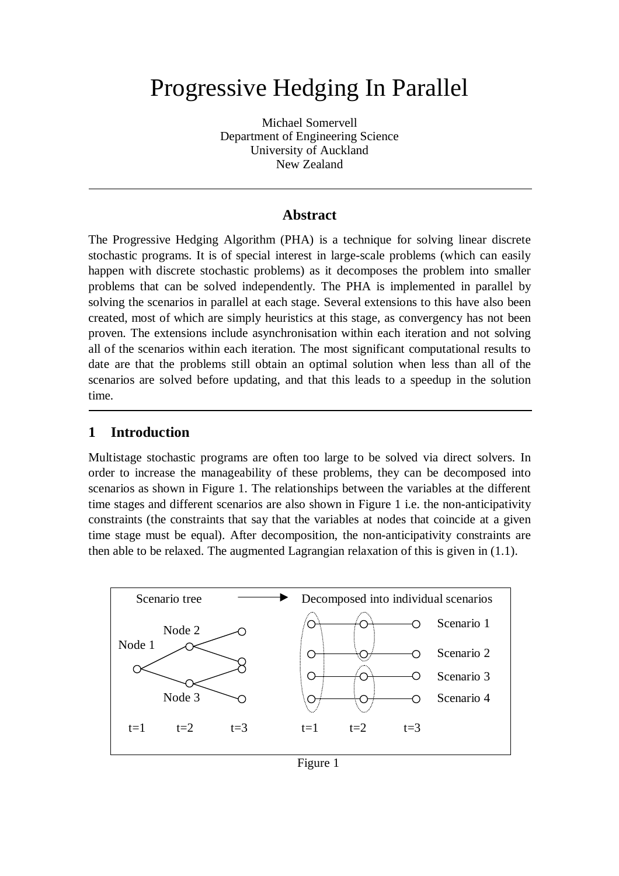# Progressive Hedging In Parallel

Michael Somervell Department of Engineering Science University of Auckland New Zealand

## **Abstract**

The Progressive Hedging Algorithm (PHA) is a technique for solving linear discrete stochastic programs. It is of special interest in large-scale problems (which can easily happen with discrete stochastic problems) as it decomposes the problem into smaller problems that can be solved independently. The PHA is implemented in parallel by solving the scenarios in parallel at each stage. Several extensions to this have also been created, most of which are simply heuristics at this stage, as convergency has not been proven. The extensions include asynchronisation within each iteration and not solving all of the scenarios within each iteration. The most significant computational results to date are that the problems still obtain an optimal solution when less than all of the scenarios are solved before updating, and that this leads to a speedup in the solution time.

## **1 Introduction**

Multistage stochastic programs are often too large to be solved via direct solvers. In order to increase the manageability of these problems, they can be decomposed into scenarios as shown in Figure 1. The relationships between the variables at the different time stages and different scenarios are also shown in Figure 1 i.e. the non-anticipativity constraints (the constraints that say that the variables at nodes that coincide at a given time stage must be equal). After decomposition, the non-anticipativity constraints are then able to be relaxed. The augmented Lagrangian relaxation of this is given in (1.1).



```
Figure 1
```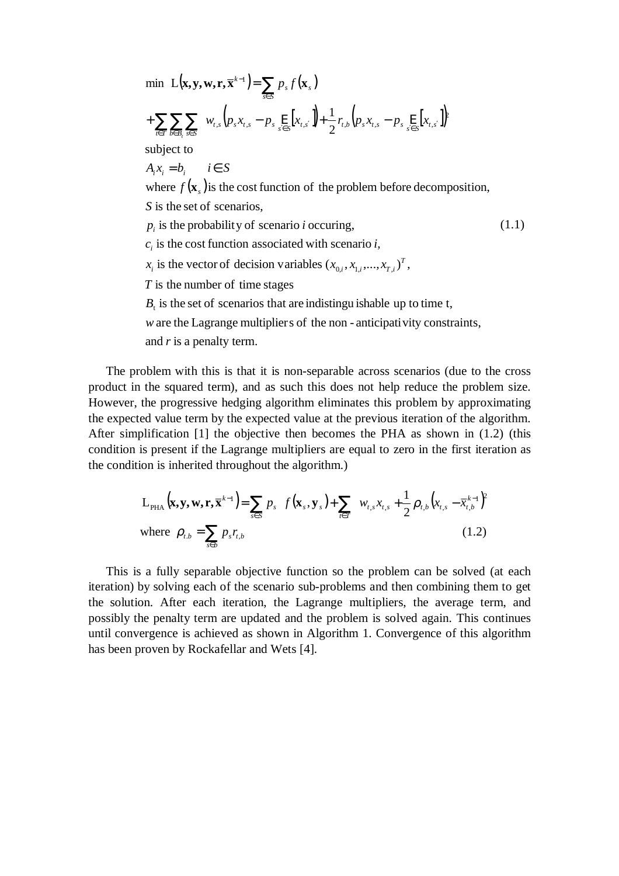min L(**x**, **y**, **w**, **r**, 
$$
\overline{\mathbf{x}}^{k-1}
$$
) =  $\sum_{s \in S} p_s f(\mathbf{x}_s)$   
+  $\sum_{\tau \in T} \sum_{b \in B_i} \sum_{s \in S} [w_{t,s} (p_s x_{t,s} - p_s \underline{E}_s [x_{t,s}]) + \frac{1}{2} r_{t,b} (p_s x_{t,s} - p_s \underline{E}_s [x_{t,s}])]$   
subject to  
 $A_i x_i = b_i$   $i \in S$   
where  $f(\mathbf{x}_s)$  is the cost function of the problem before decomposition,  
*S* is the set of scenarios,  
 $p_i$  is the probability of scenario *i* occurring,  
 $c_i$  is the cost function associated with scenario *i*,  
 $x_i$  is the vector of decision variables  $(x_{0,i}, x_{1,i},..., x_{T,i})^T$ ,  
*T* is the number of time stages  
 $B_t$  is the set of scenarios that are indistinguishable up to time t,  
*w* are the Lagrange multipliers of the non-anticipativity constraints,  
and *r* is a penalty term.

The problem with this is that it is non-separable across scenarios (due to the cross product in the squared term), and as such this does not help reduce the problem size. However, the progressive hedging algorithm eliminates this problem by approximating the expected value term by the expected value at the previous iteration of the algorithm. After simplification [1] the objective then becomes the PHA as shown in (1.2) (this condition is present if the Lagrange multipliers are equal to zero in the first iteration as the condition is inherited throughout the algorithm.)

$$
L_{\text{PHA}}(\mathbf{x}, \mathbf{y}, \mathbf{w}, \mathbf{r}, \overline{\mathbf{x}}^{k-1}) = \sum_{s \in S} p_s \left[ f(\mathbf{x}_s, \mathbf{y}_s) + \sum_{t \in T} \left( w_{t,s} x_{t,s} + \frac{1}{2} \rho_{t,b} \left( x_{t,s} - \overline{x}_{t,b}^{k-1} \right)^2 \right) \right]
$$
  
where  $\rho_{t,b} = \sum_{s \in b} p_s r_{t,b}$  (1.2)

This is a fully separable objective function so the problem can be solved (at each iteration) by solving each of the scenario sub-problems and then combining them to get the solution. After each iteration, the Lagrange multipliers, the average term, and possibly the penalty term are updated and the problem is solved again. This continues until convergence is achieved as shown in Algorithm 1. Convergence of this algorithm has been proven by Rockafellar and Wets [4].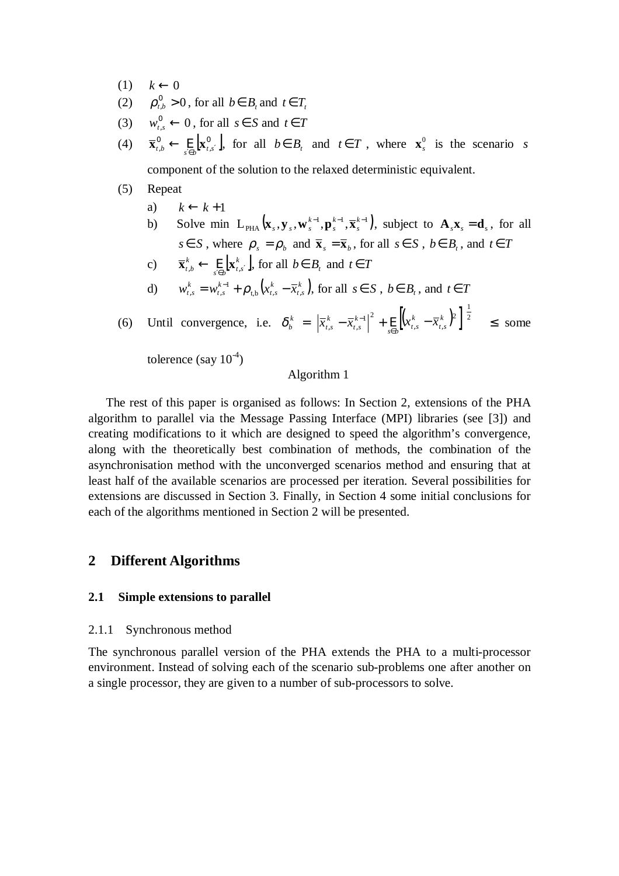- $(1)$   $k \leftarrow 0$
- (2)  $\rho_{t,b}^0 > 0$ , for all  $b \in B_t$  and  $t \in T_t$
- (3)  $w_{t,s}^0 \leftarrow 0$ , for all  $s \in S$  and  $t \in T$
- (4)  $\overline{\mathbf{x}}_{t,b}^0 \leftarrow \underset{s' \in b}{\text{E}} \left[ \mathbf{x}_{t,s'}^0 \right]$  $\overline{\mathbf{x}}_{t,b}^0 \leftarrow \underset{s \in b}{\mathbf{E}} [\mathbf{x}_{t,s'}^0]$ , for all  $b \in B_t$  and  $t \in T$ , where  $\mathbf{x}_s^0$  is the scenario *s*

component of the solution to the relaxed deterministic equivalent.

#### (5) Repeat

- a)  $k \leftarrow k+1$
- b) Solve min  $L_{\text{PHA}}(\mathbf{x}_s, \mathbf{y}_s, \mathbf{w}_s^{k-1}, \mathbf{p}_s^{k-1}, \overline{\mathbf{x}}_s^{k-1})$ *s k s*  $(\mathbf{x}_s, \mathbf{y}_s, \mathbf{w}_s^{k-1}, \mathbf{p}_s^{k-1}, \overline{\mathbf{x}}_s^{k-1})$ , subject to  $\mathbf{A}_s \mathbf{x}_s = \mathbf{d}_s$ , for all *s* ∈ *S*, where  $\rho_s = \rho_b$  and  $\bar{\mathbf{x}}_s = \bar{\mathbf{x}}_b$ , for all  $s \in S$ ,  $b \in B_t$ , and  $t \in T$
- c)  $\overline{\mathbf{x}}_{t,b}^k \leftarrow \text{E} [\mathbf{x}_{t,s}^k]$  $\sum_{s \in b}$ **[A**<sub>t,s</sub>  $\overline{\mathbf{x}}_{t,b}^k \leftarrow \underset{s \in b}{\text{E}}[\mathbf{x}_{t,s}^k]$ , for all  $b \in B_t$  and  $t \in T$ d)  $w_{t,s}^k = w_{t,s}^{k-1} + \rho_{t,b} (x_{t,s}^k - \overline{x}_{t,s}^k)$ *t s k t s k t s*  $w_{t,s}^k = w_{t,s}^{k-1} + \rho_{t,b} (x_{t,s}^k - \overline{x}_{t,s}^k)$ , for all  $s \in S$ ,  $b \in B_t$ , and  $t \in T$

(6) Until convergence, i.e. 
$$
\delta_b^k \left( = \left[ \left| \overline{x}_{t,s}^k - \overline{x}_{t,s}^{k-1} \right|^2 + \underset{s \in b}{\mathbb{E}} \left[ \left( x_{t,s}^k - \overline{x}_{t,s}^k \right)^2 \right] \right]^{\frac{1}{2}} \right) \le \text{ some}
$$

tolerence (say  $10^{-4}$ )

#### Algorithm 1

The rest of this paper is organised as follows: In Section 2, extensions of the PHA algorithm to parallel via the Message Passing Interface (MPI) libraries (see [3]) and creating modifications to it which are designed to speed the algorithm's convergence, along with the theoretically best combination of methods, the combination of the asynchronisation method with the unconverged scenarios method and ensuring that at least half of the available scenarios are processed per iteration. Several possibilities for extensions are discussed in Section 3. Finally, in Section 4 some initial conclusions for each of the algorithms mentioned in Section 2 will be presented.

#### **2 Different Algorithms**

#### **2.1 Simple extensions to parallel**

#### 2.1.1 Synchronous method

The synchronous parallel version of the PHA extends the PHA to a multi-processor environment. Instead of solving each of the scenario sub-problems one after another on a single processor, they are given to a number of sub-processors to solve.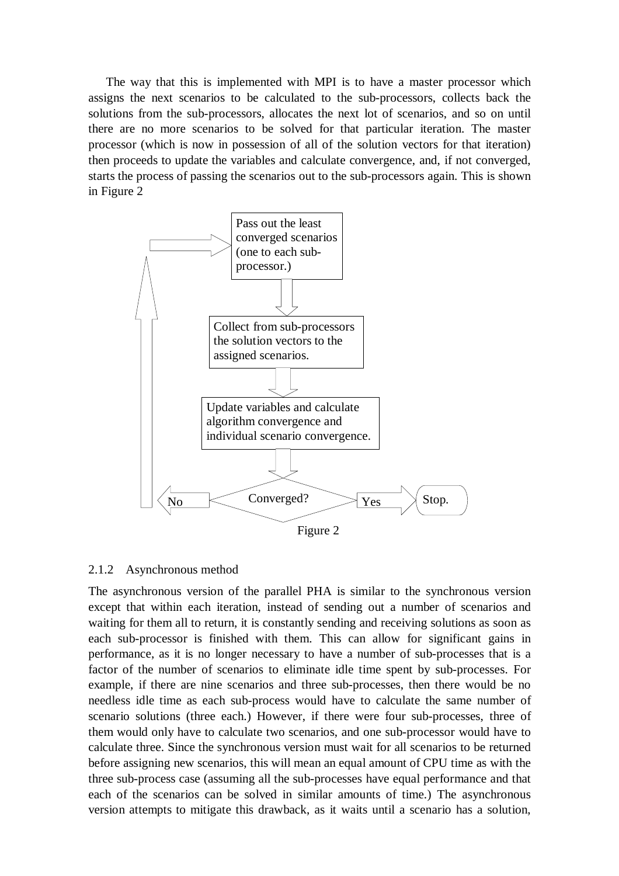The way that this is implemented with MPI is to have a master processor which assigns the next scenarios to be calculated to the sub-processors, collects back the solutions from the sub-processors, allocates the next lot of scenarios, and so on until there are no more scenarios to be solved for that particular iteration. The master processor (which is now in possession of all of the solution vectors for that iteration) then proceeds to update the variables and calculate convergence, and, if not converged, starts the process of passing the scenarios out to the sub-processors again. This is shown in Figure 2



#### 2.1.2 Asynchronous method

The asynchronous version of the parallel PHA is similar to the synchronous version except that within each iteration, instead of sending out a number of scenarios and waiting for them all to return, it is constantly sending and receiving solutions as soon as each sub-processor is finished with them. This can allow for significant gains in performance, as it is no longer necessary to have a number of sub-processes that is a factor of the number of scenarios to eliminate idle time spent by sub-processes. For example, if there are nine scenarios and three sub-processes, then there would be no needless idle time as each sub-process would have to calculate the same number of scenario solutions (three each.) However, if there were four sub-processes, three of them would only have to calculate two scenarios, and one sub-processor would have to calculate three. Since the synchronous version must wait for all scenarios to be returned before assigning new scenarios, this will mean an equal amount of CPU time as with the three sub-process case (assuming all the sub-processes have equal performance and that each of the scenarios can be solved in similar amounts of time.) The asynchronous version attempts to mitigate this drawback, as it waits until a scenario has a solution,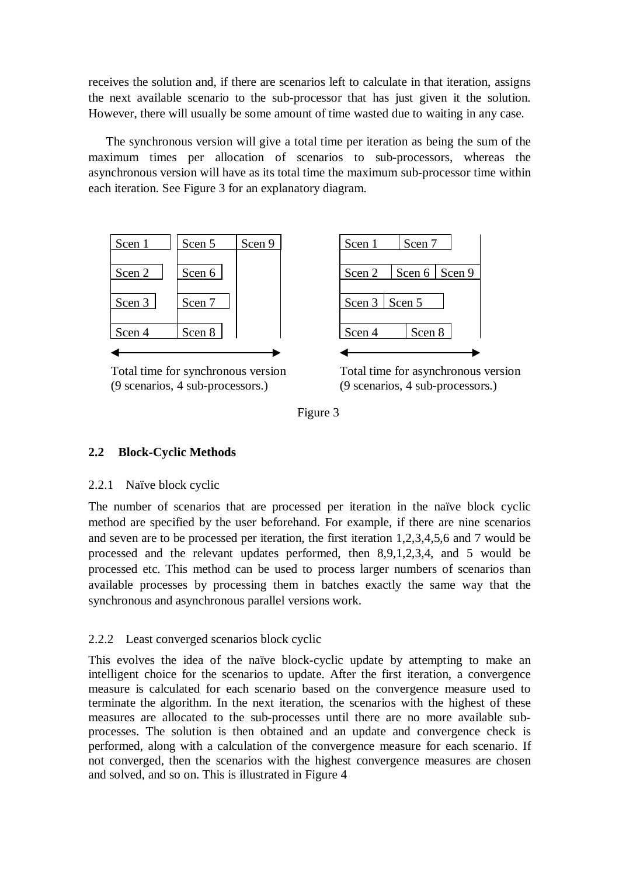receives the solution and, if there are scenarios left to calculate in that iteration, assigns the next available scenario to the sub-processor that has just given it the solution. However, there will usually be some amount of time wasted due to waiting in any case.

The synchronous version will give a total time per iteration as being the sum of the maximum times per allocation of scenarios to sub-processors, whereas the asynchronous version will have as its total time the maximum sub-processor time within each iteration. See Figure 3 for an explanatory diagram.



Total time for synchronous version (9 scenarios, 4 sub-processors.)



Total time for asynchronous version (9 scenarios, 4 sub-processors.)



## **2.2 Block-Cyclic Methods**

## 2.2.1 Naïve block cyclic

The number of scenarios that are processed per iteration in the naïve block cyclic method are specified by the user beforehand. For example, if there are nine scenarios and seven are to be processed per iteration, the first iteration 1,2,3,4,5,6 and 7 would be processed and the relevant updates performed, then 8,9,1,2,3,4, and 5 would be processed etc. This method can be used to process larger numbers of scenarios than available processes by processing them in batches exactly the same way that the synchronous and asynchronous parallel versions work.

## 2.2.2 Least converged scenarios block cyclic

This evolves the idea of the naïve block-cyclic update by attempting to make an intelligent choice for the scenarios to update. After the first iteration, a convergence measure is calculated for each scenario based on the convergence measure used to terminate the algorithm. In the next iteration, the scenarios with the highest of these measures are allocated to the sub-processes until there are no more available subprocesses. The solution is then obtained and an update and convergence check is performed, along with a calculation of the convergence measure for each scenario. If not converged, then the scenarios with the highest convergence measures are chosen and solved, and so on. This is illustrated in Figure 4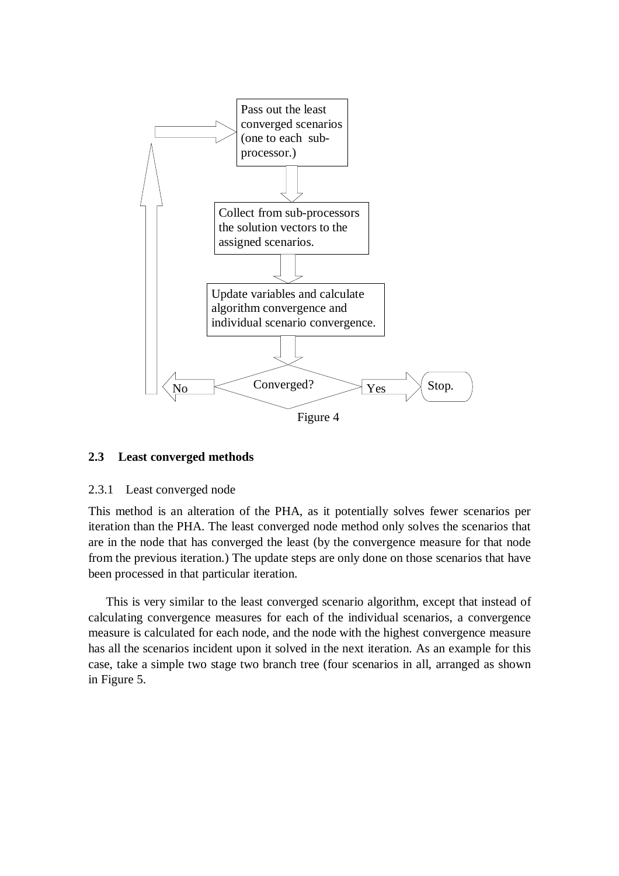

#### **2.3 Least converged methods**

#### 2.3.1 Least converged node

This method is an alteration of the PHA, as it potentially solves fewer scenarios per iteration than the PHA. The least converged node method only solves the scenarios that are in the node that has converged the least (by the convergence measure for that node from the previous iteration.) The update steps are only done on those scenarios that have been processed in that particular iteration.

This is very similar to the least converged scenario algorithm, except that instead of calculating convergence measures for each of the individual scenarios, a convergence measure is calculated for each node, and the node with the highest convergence measure has all the scenarios incident upon it solved in the next iteration. As an example for this case, take a simple two stage two branch tree (four scenarios in all, arranged as shown in Figure 5.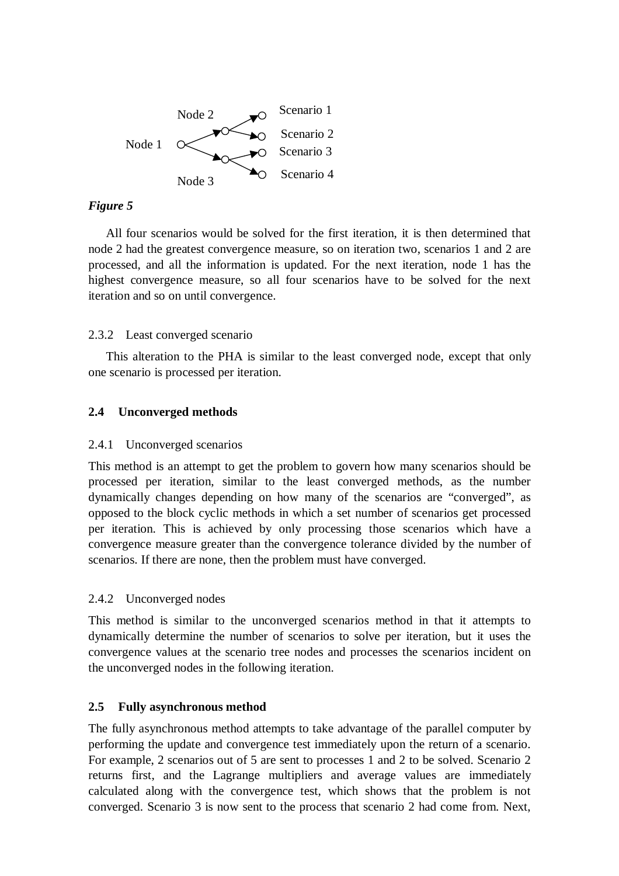

## *Figure 5*

All four scenarios would be solved for the first iteration, it is then determined that node 2 had the greatest convergence measure, so on iteration two, scenarios 1 and 2 are processed, and all the information is updated. For the next iteration, node 1 has the highest convergence measure, so all four scenarios have to be solved for the next iteration and so on until convergence.

#### 2.3.2 Least converged scenario

This alteration to the PHA is similar to the least converged node, except that only one scenario is processed per iteration.

## **2.4 Unconverged methods**

#### 2.4.1 Unconverged scenarios

This method is an attempt to get the problem to govern how many scenarios should be processed per iteration, similar to the least converged methods, as the number dynamically changes depending on how many of the scenarios are "converged", as opposed to the block cyclic methods in which a set number of scenarios get processed per iteration. This is achieved by only processing those scenarios which have a convergence measure greater than the convergence tolerance divided by the number of scenarios. If there are none, then the problem must have converged.

#### 2.4.2 Unconverged nodes

This method is similar to the unconverged scenarios method in that it attempts to dynamically determine the number of scenarios to solve per iteration, but it uses the convergence values at the scenario tree nodes and processes the scenarios incident on the unconverged nodes in the following iteration.

## **2.5 Fully asynchronous method**

The fully asynchronous method attempts to take advantage of the parallel computer by performing the update and convergence test immediately upon the return of a scenario. For example, 2 scenarios out of 5 are sent to processes 1 and 2 to be solved. Scenario 2 returns first, and the Lagrange multipliers and average values are immediately calculated along with the convergence test, which shows that the problem is not converged. Scenario 3 is now sent to the process that scenario 2 had come from. Next,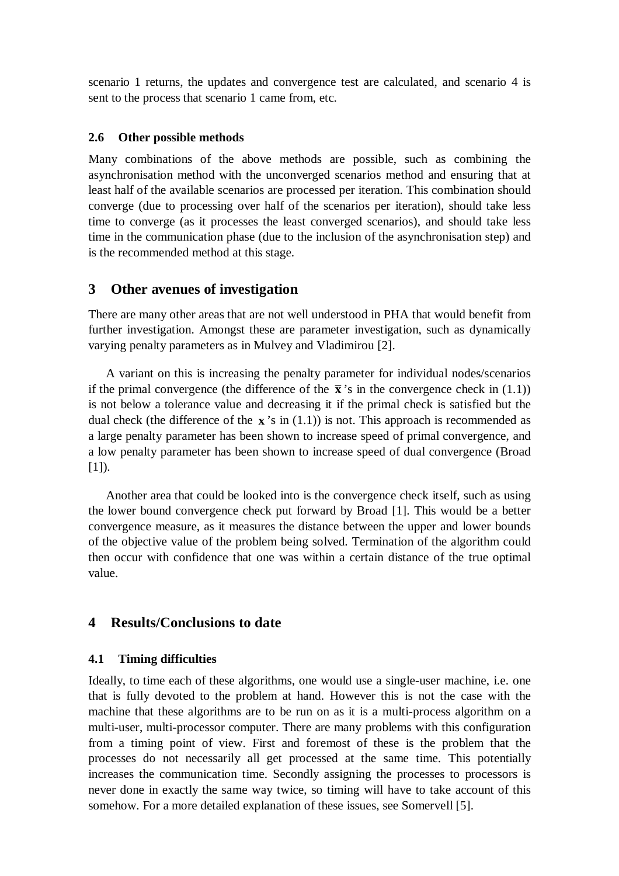scenario 1 returns, the updates and convergence test are calculated, and scenario 4 is sent to the process that scenario 1 came from, etc.

## **2.6 Other possible methods**

Many combinations of the above methods are possible, such as combining the asynchronisation method with the unconverged scenarios method and ensuring that at least half of the available scenarios are processed per iteration. This combination should converge (due to processing over half of the scenarios per iteration), should take less time to converge (as it processes the least converged scenarios), and should take less time in the communication phase (due to the inclusion of the asynchronisation step) and is the recommended method at this stage.

# **3 Other avenues of investigation**

There are many other areas that are not well understood in PHA that would benefit from further investigation. Amongst these are parameter investigation, such as dynamically varying penalty parameters as in Mulvey and Vladimirou [2].

A variant on this is increasing the penalty parameter for individual nodes/scenarios if the primal convergence (the difference of the  $\bar{\mathbf{x}}$ 's in the convergence check in (1.1)) is not below a tolerance value and decreasing it if the primal check is satisfied but the dual check (the difference of the  $\bf{x}$ 's in (1.1)) is not. This approach is recommended as a large penalty parameter has been shown to increase speed of primal convergence, and a low penalty parameter has been shown to increase speed of dual convergence (Broad  $[1]$ ).

Another area that could be looked into is the convergence check itself, such as using the lower bound convergence check put forward by Broad [1]. This would be a better convergence measure, as it measures the distance between the upper and lower bounds of the objective value of the problem being solved. Termination of the algorithm could then occur with confidence that one was within a certain distance of the true optimal value.

# **4 Results/Conclusions to date**

## **4.1 Timing difficulties**

Ideally, to time each of these algorithms, one would use a single-user machine, i.e. one that is fully devoted to the problem at hand. However this is not the case with the machine that these algorithms are to be run on as it is a multi-process algorithm on a multi-user, multi-processor computer. There are many problems with this configuration from a timing point of view. First and foremost of these is the problem that the processes do not necessarily all get processed at the same time. This potentially increases the communication time. Secondly assigning the processes to processors is never done in exactly the same way twice, so timing will have to take account of this somehow. For a more detailed explanation of these issues, see Somervell [5].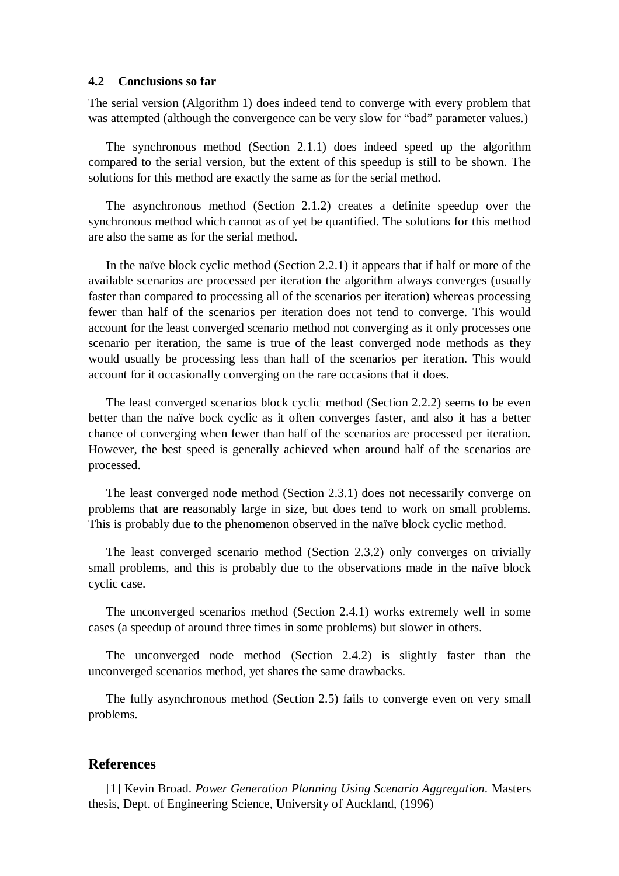#### **4.2 Conclusions so far**

The serial version (Algorithm 1) does indeed tend to converge with every problem that was attempted (although the convergence can be very slow for "bad" parameter values.)

The synchronous method (Section 2.1.1) does indeed speed up the algorithm compared to the serial version, but the extent of this speedup is still to be shown. The solutions for this method are exactly the same as for the serial method.

The asynchronous method (Section 2.1.2) creates a definite speedup over the synchronous method which cannot as of yet be quantified. The solutions for this method are also the same as for the serial method.

In the naïve block cyclic method (Section 2.2.1) it appears that if half or more of the available scenarios are processed per iteration the algorithm always converges (usually faster than compared to processing all of the scenarios per iteration) whereas processing fewer than half of the scenarios per iteration does not tend to converge. This would account for the least converged scenario method not converging as it only processes one scenario per iteration, the same is true of the least converged node methods as they would usually be processing less than half of the scenarios per iteration. This would account for it occasionally converging on the rare occasions that it does.

The least converged scenarios block cyclic method (Section 2.2.2) seems to be even better than the naïve bock cyclic as it often converges faster, and also it has a better chance of converging when fewer than half of the scenarios are processed per iteration. However, the best speed is generally achieved when around half of the scenarios are processed.

The least converged node method (Section 2.3.1) does not necessarily converge on problems that are reasonably large in size, but does tend to work on small problems. This is probably due to the phenomenon observed in the naïve block cyclic method.

The least converged scenario method (Section 2.3.2) only converges on trivially small problems, and this is probably due to the observations made in the naïve block cyclic case.

The unconverged scenarios method (Section 2.4.1) works extremely well in some cases (a speedup of around three times in some problems) but slower in others.

The unconverged node method (Section 2.4.2) is slightly faster than the unconverged scenarios method, yet shares the same drawbacks.

The fully asynchronous method (Section 2.5) fails to converge even on very small problems.

#### **References**

[1] Kevin Broad. *Power Generation Planning Using Scenario Aggregation*. Masters thesis, Dept. of Engineering Science, University of Auckland, (1996)